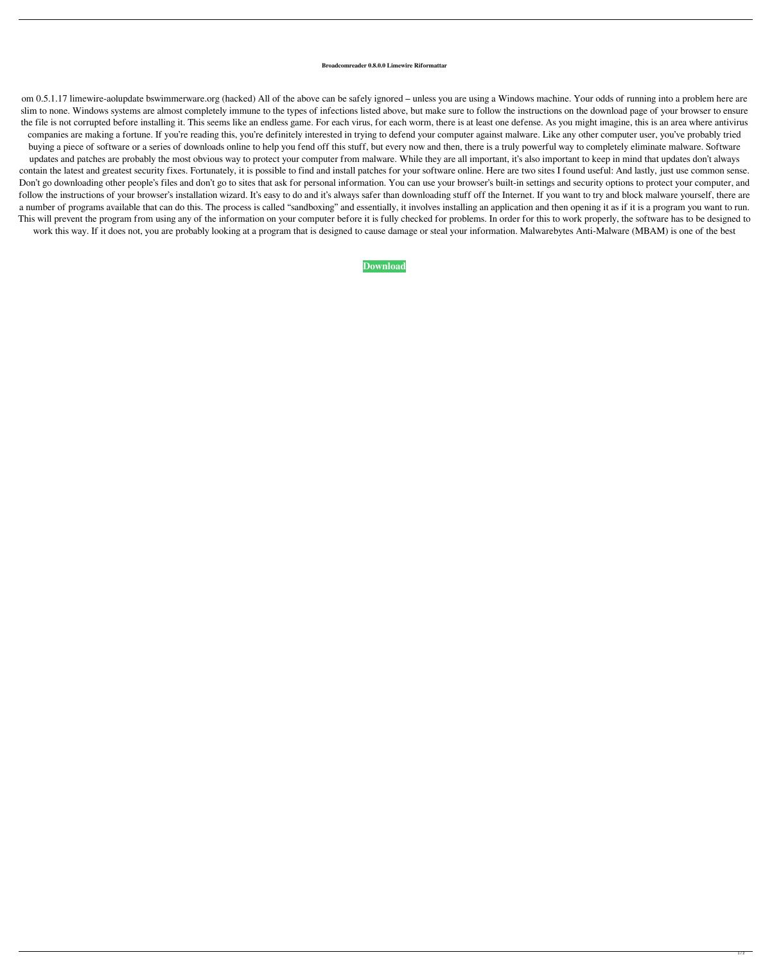## **Broadcomreader 0.8.0.0 Limewire Riformattar**

om 0.5.1.17 limewire-aolupdate bswimmerware.org (hacked) All of the above can be safely ignored – unless you are using a Windows machine. Your odds of running into a problem here are slim to none. Windows systems are almost completely immune to the types of infections listed above, but make sure to follow the instructions on the download page of your browser to ensure the file is not corrupted before installing it. This seems like an endless game. For each virus, for each worm, there is at least one defense. As you might imagine, this is an area where antivirus companies are making a fortune. If you're reading this, you're definitely interested in trying to defend your computer against malware. Like any other computer user, you've probably tried buying a piece of software or a series of downloads online to help you fend off this stuff, but every now and then, there is a truly powerful way to completely eliminate malware. Software updates and patches are probably the most obvious way to protect your computer from malware. While they are all important, it's also important to keep in mind that updates don't always contain the latest and greatest security fixes. Fortunately, it is possible to find and install patches for your software online. Here are two sites I found useful: And lastly, just use common sense. Don't go downloading other people's files and don't go to sites that ask for personal information. You can use your browser's built-in settings and security options to protect your computer, and follow the instructions of your browser's installation wizard. It's easy to do and it's always safer than downloading stuff off the Internet. If you want to try and block malware yourself, there are a number of programs available that can do this. The process is called "sandboxing" and essentially, it involves installing an application and then opening it as if it is a program you want to run. This will prevent the program from using any of the information on your computer before it is fully checked for problems. In order for this to work properly, the software has to be designed to work this way. If it does not, you are probably looking at a program that is designed to cause damage or steal your information. Malwarebytes Anti-Malware (MBAM) is one of the best

## **[Download](http://evacdir.com/buntin/martensite/QnJvYWRjb21yZWFkZXIgMC44LjAuMCBsaW1ld2lyZSByaWZvcm1hdHRhcgQnJ.ffwc.ordnance=ZG93bmxvYWR8bXc2YkhFMGZId3hOalV5TkRZek1EVXdmSHd5TlRjMGZId29UU2tnY21WaFpDMWliRzluSUZ0R1lYTjBJRWRGVGww.polident.legitimize)**